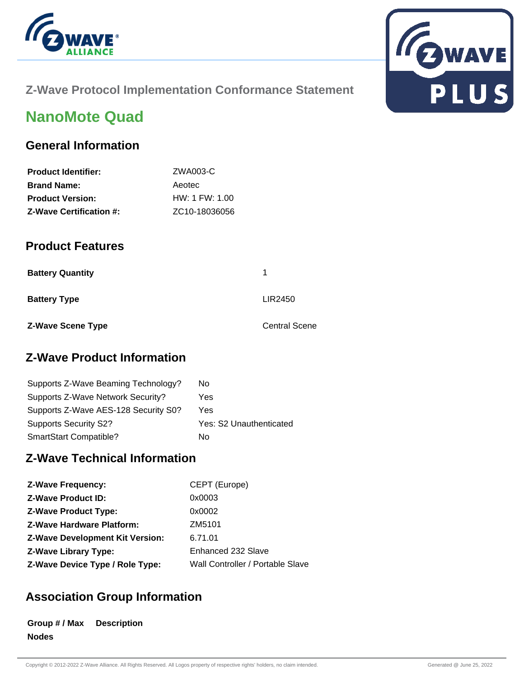



## **Z-Wave Protocol Implementation Conformance Statement**

# **NanoMote Quad**

### **General Information**

| <b>Product Identifier:</b>     | ZWA003-C                   |
|--------------------------------|----------------------------|
| <b>Brand Name:</b>             | Aeotec                     |
| <b>Product Version:</b>        | HW: 1 FW: 1.00             |
| <b>Z-Wave Certification #:</b> | ZC <sub>10</sub> -18036056 |

### **Product Features**

| <b>Battery Quantity</b>  | 1                    |
|--------------------------|----------------------|
| <b>Battery Type</b>      | LIR2450              |
| <b>Z-Wave Scene Type</b> | <b>Central Scene</b> |

### **Z-Wave Product Information**

| Supports Z-Wave Beaming Technology?  | No                      |
|--------------------------------------|-------------------------|
| Supports Z-Wave Network Security?    | Yes                     |
| Supports Z-Wave AES-128 Security S0? | Yes                     |
| <b>Supports Security S2?</b>         | Yes: S2 Unauthenticated |
| SmartStart Compatible?               | N٥                      |

# **Z-Wave Technical Information**

| <b>Z-Wave Frequency:</b>               | CEPT (Europe)                    |
|----------------------------------------|----------------------------------|
| <b>Z-Wave Product ID:</b>              | 0x0003                           |
| <b>Z-Wave Product Type:</b>            | 0x0002                           |
| <b>Z-Wave Hardware Platform:</b>       | ZM5101                           |
| <b>Z-Wave Development Kit Version:</b> | 6.71.01                          |
| <b>Z-Wave Library Type:</b>            | Enhanced 232 Slave               |
| Z-Wave Device Type / Role Type:        | Wall Controller / Portable Slave |

# **Association Group Information**

**Group # / Max Description Nodes**